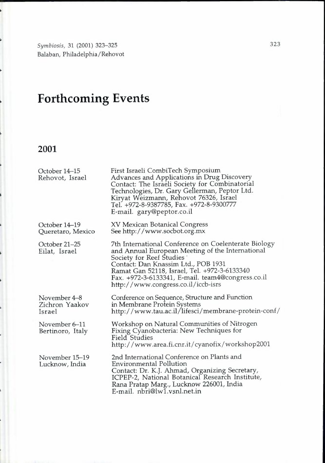*Symbiosis,* 31 (2001) 323-325 Balaban, Philadelphia/Rehovot

## **Forthcoming Events**

## **2001**

 $\mathbf{r}$ 

 $\ddot{\phantom{0}}$ 

 $\ddot{\phantom{0}}$ 

L

 $\overline{\phantom{0}}$ 

 $\ddot{\phantom{0}}$ 

 $\overline{a}$ 

 $\ddot{\phantom{0}}$ 

| October 14–15<br>Rehovot, Israel         | First Israeli CombiTech Symposium<br>Advances and Applications in Drug Discovery<br>Contact: The Israeli Society for Combinatorial<br>Technologies, Dr. Gary Gellerman, Peptor Ltd.<br>Kiryat Weizmann, Rehovot 76326, Israel<br>Tel. +972-8-9387785, Fax. +972-8-9300777<br>E-mail. gary@peptor.co.il                  |
|------------------------------------------|-------------------------------------------------------------------------------------------------------------------------------------------------------------------------------------------------------------------------------------------------------------------------------------------------------------------------|
| October 14–19<br>Queretaro, Mexico       | <b>XV Mexican Botanical Congress</b><br>See http://www.socbot.org.mx                                                                                                                                                                                                                                                    |
| October 21–25<br>Eilat, Israel           | 7th International Conference on Coelenterate Biology<br>and Annual European Meeting of the International<br>Society for Reef Studies<br>Contact: Dan Knassim Ltd., POB 1931<br>Ramat Gan 52118, Israel, Tel. +972-3-6133340<br>Fax. +972-3-6133341, E-mail. team4@congress.co.il<br>http://www.congress.co.il/iccb-isrs |
| November 4–8<br>Zichron Yaakov<br>Israel | Conference on Sequence, Structure and Function<br>in Membrane Protein Systems<br>http://www.tau.ac.il/lifesci/membrane-protein-conf/                                                                                                                                                                                    |
| November 6–11<br>Bertinoro, Italy        | Workshop on Natural Communities of Nitrogen<br>Fixing Cyanobacteria: New Techniques for<br>Field Studies<br>http://www.area.fi.cnr.it/cyanofix/workshop2001                                                                                                                                                             |
| November 15–19<br>Lucknow, India         | 2nd International Conference on Plants and<br><b>Environmental Pollution</b><br>Contact: Dr. K.J. Ahmad, Organizing Secretary,<br>ICPEP-2, National Botanical Research Institute,<br>Rana Pratap Marg., Lucknow 226001, India<br>E-mail, nbri@lw1.ysnl.net.in                                                           |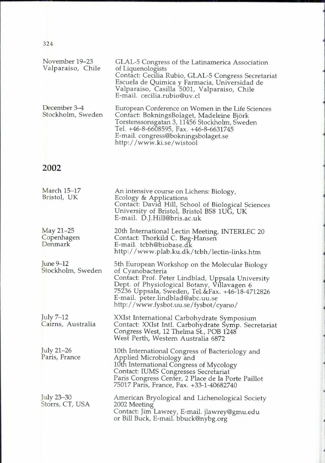| November 19–23<br>Valparaiso, Chile | GLAL-5 Congress of the Latinamerica Association<br>of Liquenologists<br>Contact: Cecilia Rubio, GLAL-5 Congress Secretariat<br>Escuela de Quimica y Farmacia, Universidad de<br>Valparaiso, Casilla 5001, Valparaiso, Chile<br>E-mail. cecilia.rubio@uv.cl  |
|-------------------------------------|-------------------------------------------------------------------------------------------------------------------------------------------------------------------------------------------------------------------------------------------------------------|
| December 3-4<br>Stockholm, Sweden   | European Conference on Women in the Life Sciences<br>Contact: BokningsBolaget, Madeleine Björk<br>Torstenssonsgatan 3, 11456 Stockholm, Sweden<br>Tel. +46-8-6608595, Fax. +46-8-6631745<br>E-mail. congress@bokningsbolaget.se<br>http://www.ki.se/wistool |

## **2002**

324

| March 15–17<br>Bristol, UK           | An intensive course on Lichens: Biology,<br>Ecology & Applications<br>Contact: David Hill, School of Biological Sciences<br>University of Bristol, Bristol BS8 1UG, UK<br>E-mail. D.J.Hill@bris.ac.uk                                                                                                  |
|--------------------------------------|--------------------------------------------------------------------------------------------------------------------------------------------------------------------------------------------------------------------------------------------------------------------------------------------------------|
| May $21-25$<br>Copenhagen<br>Denmark | 20th International Lectin Meeting, INTERLEC 20<br>Contact: Thorkild C. Bøg-Hansen<br>E-mail. tcbh@biobase.dk<br>http://www.plab.ku.dk/tcbh/lectin-links.htm                                                                                                                                            |
| June 9-12<br>Stockholm, Sweden       | 5th European Workshop on the Molecular Biology<br>of Cyanobacteria<br>Contact: Prof. Peter Lindblad, Uppsala University<br>Dept. of Physiological Botany, Villavagen 6<br>75236 Uppsala, Sweden, Tel.&Fax. +46-18-4712826<br>E-mail. peter.lindblad@abc.uu.se<br>http://www.fysbot.uu.se/fysbot/cyano/ |
| July 7-12<br>Cairns, Australia       | XXIst International Carbohydrate Symposium<br>Contact: XXIst Intl. Carbohydrate Symp. Secretariat<br>Congress West, 12 Thelma St., POB 1248<br>West Perth, Western Australia 6872                                                                                                                      |
| July 21-26<br>Paris, France          | 10th International Congress of Bacteriology and<br>Applied Microbiology and<br>10th International Congress of Mycology<br>Contact: IUMS Congresses Secretariat<br>Paris Congress Center, 2 Place de la Porte Paillot<br>75017 Paris, France, Fax. +33-1-40682740                                       |
| July 23–30<br>Storrs, CT, USA        | American Bryological and Lichenological Society<br>2002 Meeting<br>Contact: Jim Lawrey, E-mail. jlawrey@gmu.edu<br>or Bill Buck, E-mail. bbuck@nybg.org                                                                                                                                                |